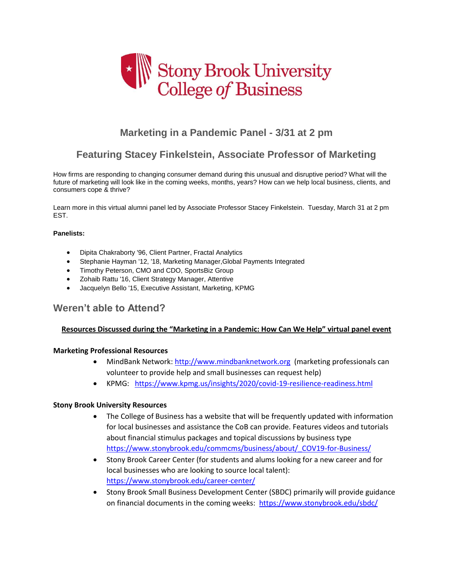

# **Marketing in a Pandemic Panel - 3/31 at 2 pm**

# **Featuring Stacey Finkelstein, Associate Professor of Marketing**

How firms are responding to changing consumer demand during this unusual and disruptive period? What will the future of marketing will look like in the coming weeks, months, years? How can we help local business, clients, and consumers cope & thrive?

Learn more in this virtual alumni panel led by Associate Professor Stacey Finkelstein. Tuesday, March 31 at 2 pm EST.

#### **Panelists:**

- Dipita Chakraborty '96, Client Partner, Fractal Analytics
- Stephanie Hayman '12, '18, Marketing Manager,Global Payments Integrated
- Stephanie Hayman '12, '18, Marketing Manager, Glob<br>• Timothy Peterson, CMO and CDO, SportsBiz Group
- Zohaib Rattu '16, Client Strategy Manager, Attentive
- Jacquelyn Bello '15, Executive Assistant, Marketing, KPMG

# **Weren't able to Attend?**

#### **Resources Discussed during the "Marketing in a Pandemic: How Can We Help" virtual panel event**

#### **Marketing Professional Resources**

- MindBank Network: [http://www.mindbanknetwork.org](http://www.mindbanknetwork.org/) (marketing professionals can volunteer to provide help and small businesses can request help)
- KPMG: <https://www.kpmg.us/insights/2020/covid-19-resilience-readiness.html>

#### **Stony Brook University Resources**

- The College of Business has a website that will be frequently updated with information for local businesses and assistance the CoB can provide. Features videos and tutorials about financial stimulus packages and topical discussions by business type [https://www.stonybrook.edu/commcms/business/about/\\_COV19-for-Business/](https://www.stonybrook.edu/commcms/business/about/_COV19-for-Business/)
- Stony Brook Career Center (for students and alums looking for a new career and for local businesses who are looking to source local talent): <https://www.stonybrook.edu/career-center/>
- Stony Brook Small Business Development Center (SBDC) primarily will provide guidance on financial documents in the coming weeks: <https://www.stonybrook.edu/sbdc/>